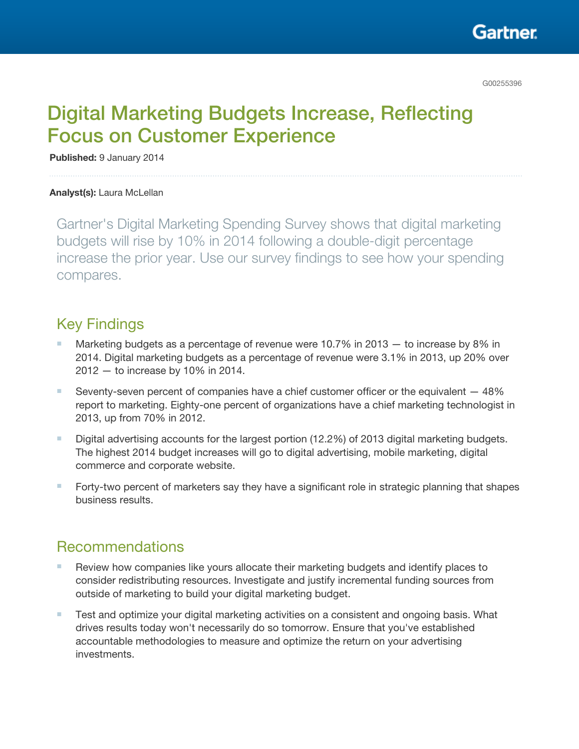

# Digital Marketing Budgets Increase, Reflecting Focus on Customer Experience

Published: 9 January 2014

#### Analyst(s): Laura McLellan

Gartner's Digital Marketing Spending Survey shows that digital marketing budgets will rise by 10% in 2014 following a double-digit percentage increase the prior year. Use our survey findings to see how your spending compares.

# Key Findings

- Marketing budgets as a percentage of revenue were 10.7% in 2013  $-$  to increase by 8% in 2014. Digital marketing budgets as a percentage of revenue were 3.1% in 2013, up 20% over 2012 — to increase by 10% in 2014.
- Seventy-seven percent of companies have a chief customer officer or the equivalent  $-48\%$ report to marketing. Eighty-one percent of organizations have a chief marketing technologist in 2013, up from 70% in 2012.
- Digital advertising accounts for the largest portion (12.2%) of 2013 digital marketing budgets. The highest 2014 budget increases will go to digital advertising, mobile marketing, digital commerce and corporate website.
- Forty-two percent of marketers say they have a significant role in strategic planning that shapes business results.

# Recommendations

- Review how companies like yours allocate their marketing budgets and identify places to consider redistributing resources. Investigate and justify incremental funding sources from outside of marketing to build your digital marketing budget.
- Test and optimize your digital marketing activities on a consistent and ongoing basis. What drives results today won't necessarily do so tomorrow. Ensure that you've established accountable methodologies to measure and optimize the return on your advertising investments.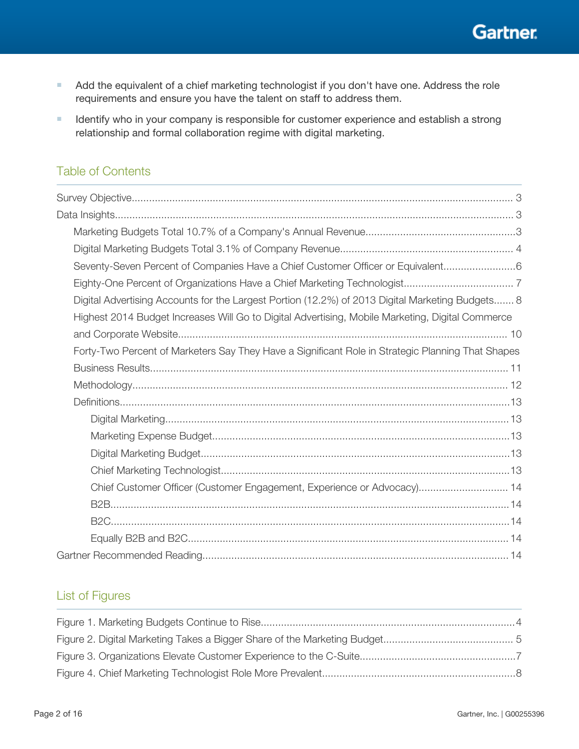**Gartner.** 

- Add the equivalent of a chief marketing technologist if you don't have one. Address the role requirements and ensure you have the talent on staff to address them.
- Identify who in your company is responsible for customer experience and establish a strong relationship and formal collaboration regime with digital marketing.

### Table of Contents

| Seventy-Seven Percent of Companies Have a Chief Customer Officer or Equivalent6                   |
|---------------------------------------------------------------------------------------------------|
|                                                                                                   |
| Digital Advertising Accounts for the Largest Portion (12.2%) of 2013 Digital Marketing Budgets 8  |
| Highest 2014 Budget Increases Will Go to Digital Advertising, Mobile Marketing, Digital Commerce  |
|                                                                                                   |
| Forty-Two Percent of Marketers Say They Have a Significant Role in Strategic Planning That Shapes |
|                                                                                                   |
|                                                                                                   |
|                                                                                                   |
|                                                                                                   |
|                                                                                                   |
|                                                                                                   |
|                                                                                                   |
| Chief Customer Officer (Customer Engagement, Experience or Advocacy) 14                           |
|                                                                                                   |
|                                                                                                   |
|                                                                                                   |
|                                                                                                   |

### List of Figures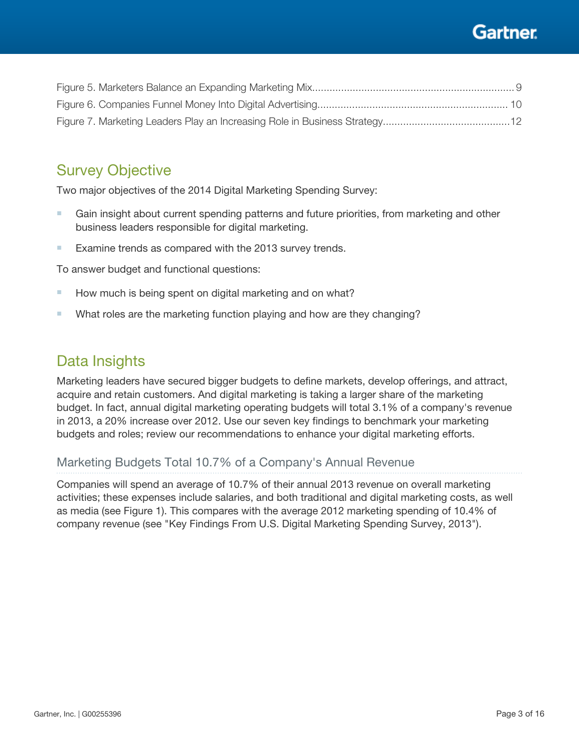# Gartner

<span id="page-2-0"></span>

# Survey Objective

Two major objectives of the 2014 Digital Marketing Spending Survey:

- Gain insight about current spending patterns and future priorities, from marketing and other business leaders responsible for digital marketing.
- Examine trends as compared with the 2013 survey trends.

To answer budget and functional questions:

- How much is being spent on digital marketing and on what?
- What roles are the marketing function playing and how are they changing?

# Data Insights

Marketing leaders have secured bigger budgets to define markets, develop offerings, and attract, acquire and retain customers. And digital marketing is taking a larger share of the marketing budget. In fact, annual digital marketing operating budgets will total 3.1% of a company's revenue in 2013, a 20% increase over 2012. Use our seven key findings to benchmark your marketing budgets and roles; review our recommendations to enhance your digital marketing efforts.

### Marketing Budgets Total 10.7% of a Company's Annual Revenue

Companies will spend an average of 10.7% of their annual 2013 revenue on overall marketing activities; these expenses include salaries, and both traditional and digital marketing costs, as well as media (see Figure 1). This compares with the average 2012 marketing spending of 10.4% of company revenue (see "Key Findings From U.S. Digital Marketing Spending Survey, 2013").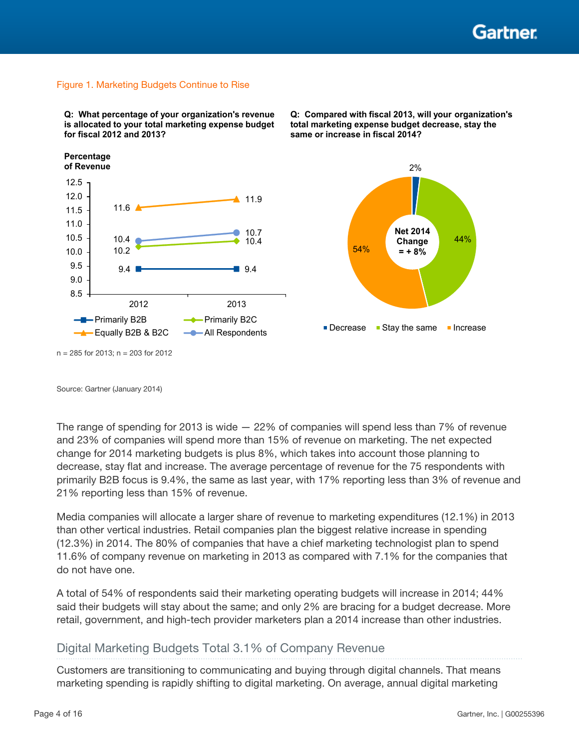

#### <span id="page-3-0"></span>Figure 1. Marketing Budgets Continue to Rise

**Q: What percentage of your organization's revenue is allocated to your total marketing expense budget for fiscal 2012 and 2013?** 

**Percentage of Revenue**





**Q: Compared with fiscal 2013, will your organization's total marketing expense budget decrease, stay the** 

**same or increase in fiscal 2014?** 

n = 285 for 2013; n = 203 for 2012

Source: Gartner (January 2014)

The range of spending for 2013 is wide  $-22\%$  of companies will spend less than 7% of revenue and 23% of companies will spend more than 15% of revenue on marketing. The net expected change for 2014 marketing budgets is plus 8%, which takes into account those planning to decrease, stay flat and increase. The average percentage of revenue for the 75 respondents with primarily B2B focus is 9.4%, the same as last year, with 17% reporting less than 3% of revenue and 21% reporting less than 15% of revenue.

Media companies will allocate a larger share of revenue to marketing expenditures (12.1%) in 2013 than other vertical industries. Retail companies plan the biggest relative increase in spending (12.3%) in 2014. The 80% of companies that have a chief marketing technologist plan to spend 11.6% of company revenue on marketing in 2013 as compared with 7.1% for the companies that do not have one.

A total of 54% of respondents said their marketing operating budgets will increase in 2014; 44% said their budgets will stay about the same; and only 2% are bracing for a budget decrease. More retail, government, and high-tech provider marketers plan a 2014 increase than other industries.

### Digital Marketing Budgets Total 3.1% of Company Revenue

Customers are transitioning to communicating and buying through digital channels. That means marketing spending is rapidly shifting to digital marketing. On average, annual digital marketing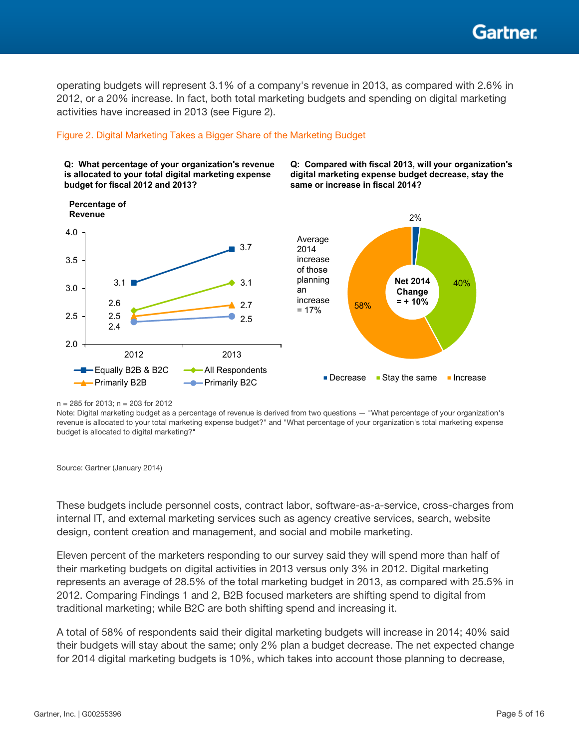Gartner

<span id="page-4-0"></span>operating budgets will represent 3.1% of a company's revenue in 2013, as compared with 2.6% in 2012, or a 20% increase. In fact, both total marketing budgets and spending on digital marketing activities have increased in 2013 (see Figure 2).

### Figure 2. Digital Marketing Takes a Bigger Share of the Marketing Budget

**Q: What percentage of your organization's revenue is allocated to your total digital marketing expense budget for fiscal 2012 and 2013?** 

**Q: Compared with fiscal 2013, will your organization's digital marketing expense budget decrease, stay the same or increase in fiscal 2014?**



n = 285 for 2013; n = 203 for 2012

Note: Digital marketing budget as a percentage of revenue is derived from two questions — "What percentage of your organization's revenue is allocated to your total marketing expense budget?" and "What percentage of your organization's total marketing expense budget is allocated to digital marketing?"

Source: Gartner (January 2014)

These budgets include personnel costs, contract labor, software-as-a-service, cross-charges from internal IT, and external marketing services such as agency creative services, search, website design, content creation and management, and social and mobile marketing.

Eleven percent of the marketers responding to our survey said they will spend more than half of their marketing budgets on digital activities in 2013 versus only 3% in 2012. Digital marketing represents an average of 28.5% of the total marketing budget in 2013, as compared with 25.5% in 2012. Comparing Findings 1 and 2, B2B focused marketers are shifting spend to digital from traditional marketing; while B2C are both shifting spend and increasing it.

A total of 58% of respondents said their digital marketing budgets will increase in 2014; 40% said their budgets will stay about the same; only 2% plan a budget decrease. The net expected change for 2014 digital marketing budgets is 10%, which takes into account those planning to decrease,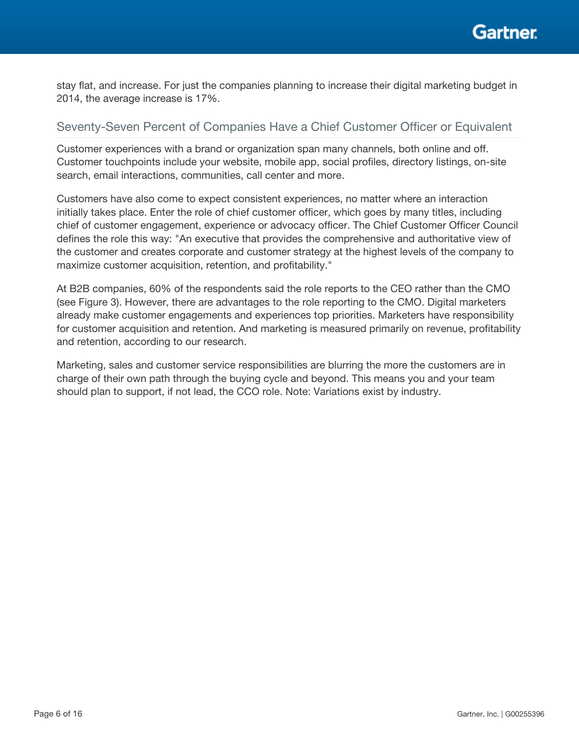<span id="page-5-0"></span>stay flat, and increase. For just the companies planning to increase their digital marketing budget in 2014, the average increase is 17%.

### Seventy-Seven Percent of Companies Have a Chief Customer Officer or Equivalent

Customer experiences with a brand or organization span many channels, both online and off. Customer touchpoints include your website, mobile app, social profiles, directory listings, on-site search, email interactions, communities, call center and more.

Customers have also come to expect consistent experiences, no matter where an interaction initially takes place. Enter the role of chief customer officer, which goes by many titles, including chief of customer engagement, experience or advocacy officer. The Chief Customer Officer Council defines the role this way: "An executive that provides the comprehensive and authoritative view of the customer and creates corporate and customer strategy at the highest levels of the company to maximize customer acquisition, retention, and profitability."

At B2B companies, 60% of the respondents said the role reports to the CEO rather than the CMO (see Figure 3). However, there are advantages to the role reporting to the CMO. Digital marketers already make customer engagements and experiences top priorities. Marketers have responsibility for customer acquisition and retention. And marketing is measured primarily on revenue, profitability and retention, according to our research.

Marketing, sales and customer service responsibilities are blurring the more the customers are in charge of their own path through the buying cycle and beyond. This means you and your team should plan to support, if not lead, the CCO role. Note: Variations exist by industry.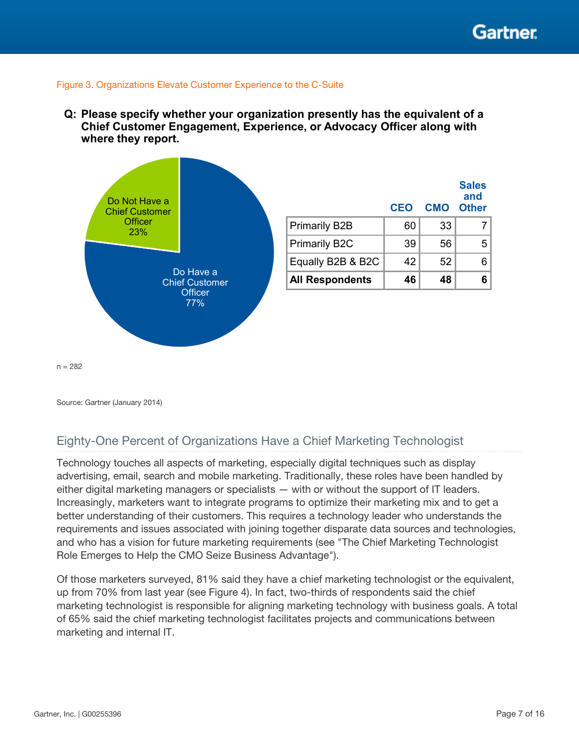#### <span id="page-6-0"></span>Figure 3. Organizations Elevate Customer Experience to the C-Suite

**Q: Please specify whether your organization presently has the equivalent of a Chief Customer Engagement, Experience, or Advocacy Officer along with where they report.**



 $n = 282$ 

Source: Gartner (January 2014)

### Eighty-One Percent of Organizations Have a Chief Marketing Technologist

Technology touches all aspects of marketing, especially digital techniques such as display advertising, email, search and mobile marketing. Traditionally, these roles have been handled by either digital marketing managers or specialists — with or without the support of IT leaders. Increasingly, marketers want to integrate programs to optimize their marketing mix and to get a better understanding of their customers. This requires a technology leader who understands the requirements and issues associated with joining together disparate data sources and technologies, and who has a vision for future marketing requirements (see "The Chief Marketing Technologist Role Emerges to Help the CMO Seize Business Advantage").

Of those marketers surveyed, 81% said they have a chief marketing technologist or the equivalent, up from 70% from last year (see Figure 4). In fact, two-thirds of respondents said the chief marketing technologist is responsible for aligning marketing technology with business goals. A total of 65% said the chief marketing technologist facilitates projects and communications between marketing and internal IT.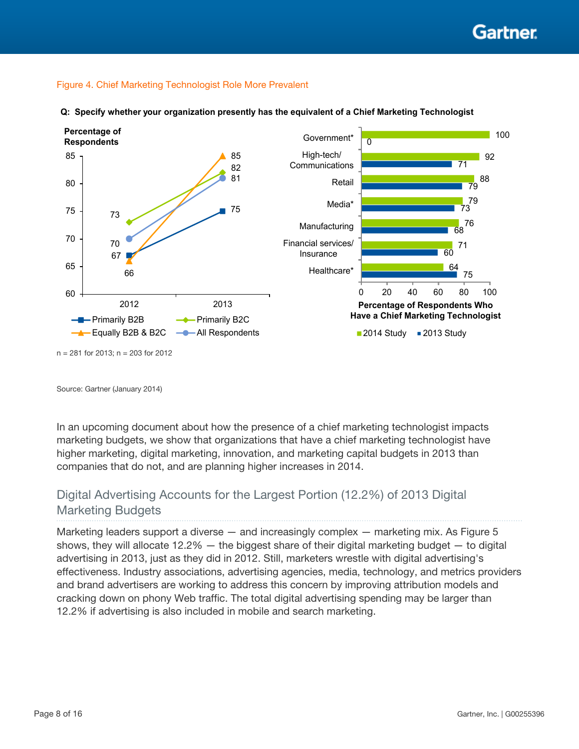### <span id="page-7-0"></span>Figure 4. Chief Marketing Technologist Role More Prevalent



**Q: Specify whether your organization presently has the equivalent of a Chief Marketing Technologist**

Source: Gartner (January 2014)

In an upcoming document about how the presence of a chief marketing technologist impacts marketing budgets, we show that organizations that have a chief marketing technologist have higher marketing, digital marketing, innovation, and marketing capital budgets in 2013 than companies that do not, and are planning higher increases in 2014.

# Digital Advertising Accounts for the Largest Portion (12.2%) of 2013 Digital Marketing Budgets

Marketing leaders support a diverse — and increasingly complex — marketing mix. As Figure 5 shows, they will allocate 12.2% — the biggest share of their digital marketing budget — to digital advertising in 2013, just as they did in 2012. Still, marketers wrestle with digital advertising's effectiveness. Industry associations, advertising agencies, media, technology, and metrics providers and brand advertisers are working to address this concern by improving attribution models and cracking down on phony Web traffic. The total digital advertising spending may be larger than 12.2% if advertising is also included in mobile and search marketing.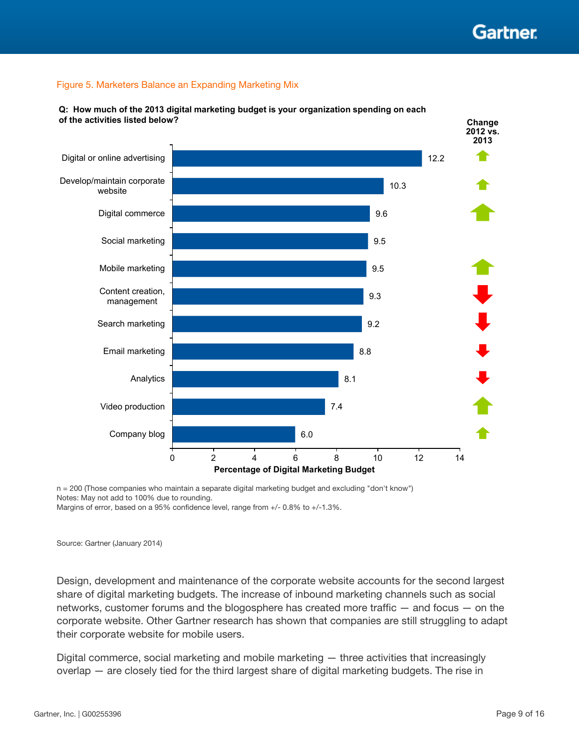### <span id="page-8-0"></span>Figure 5. Marketers Balance an Expanding Marketing Mix



**Q: How much of the 2013 digital marketing budget is your organization spending on each of the activities listed below?**

n = 200 (Those companies who maintain a separate digital marketing budget and excluding "don't know") Notes: May not add to 100% due to rounding.

Margins of error, based on a 95% confidence level, range from +/- 0.8% to +/-1.3%.

Source: Gartner (January 2014)

Design, development and maintenance of the corporate website accounts for the second largest share of digital marketing budgets. The increase of inbound marketing channels such as social networks, customer forums and the blogosphere has created more traffic — and focus — on the corporate website. Other Gartner research has shown that companies are still struggling to adapt their corporate website for mobile users.

Digital commerce, social marketing and mobile marketing — three activities that increasingly overlap — are closely tied for the third largest share of digital marketing budgets. The rise in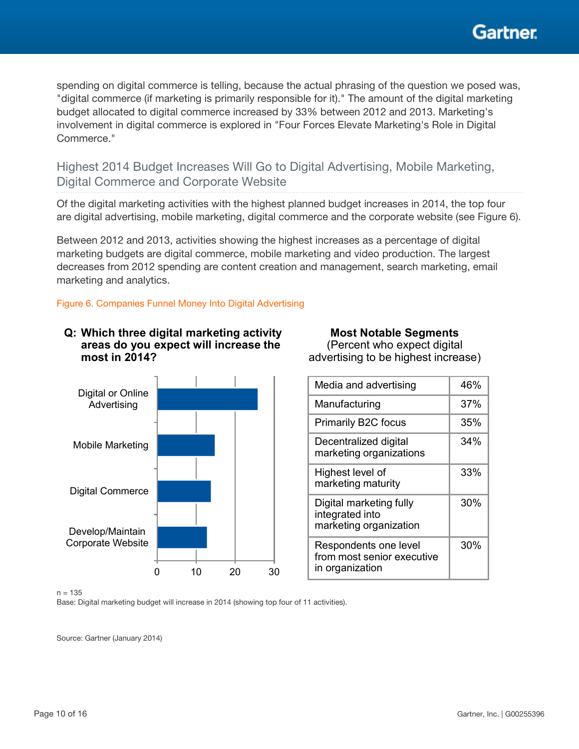

<span id="page-9-0"></span>spending on digital commerce is telling, because the actual phrasing of the question we posed was, "digital commerce (if marketing is primarily responsible for it)." The amount of the digital marketing budget allocated to digital commerce increased by 33% between 2012 and 2013. Marketing's involvement in digital commerce is explored in "Four Forces Elevate Marketing's Role in Digital Commerce."

Highest 2014 Budget Increases Will Go to Digital Advertising, Mobile Marketing, Digital Commerce and Corporate Website

Of the digital marketing activities with the highest planned budget increases in 2014, the top four are digital advertising, mobile marketing, digital commerce and the corporate website (see Figure 6).

Between 2012 and 2013, activities showing the highest increases as a percentage of digital marketing budgets are digital commerce, mobile marketing and video production. The largest decreases from 2012 spending are content creation and management, search marketing, email marketing and analytics.

Figure 6. Companies Funnel Money Into Digital Advertising



#### **Q: Which three digital marketing activity areas do you expect will increase the most in 2014? Most Notable Segments** (Percent who expect digital

| advertising to be highest increase)                                    |     |  |
|------------------------------------------------------------------------|-----|--|
| Media and advertising                                                  | 46% |  |
| Manufacturing                                                          | 37% |  |
| Primarily B2C focus                                                    | 35% |  |
| Decentralized digital<br>marketing organizations                       | 34% |  |
| Highest level of<br>marketing maturity                                 | 33% |  |
| Digital marketing fully<br>integrated into<br>marketing organization   | 30% |  |
| Respondents one level<br>from most senior executive<br>in organization | 30% |  |

#### $n = 135$

Base: Digital marketing budget will increase in 2014 (showing top four of 11 activities).

Source: Gartner (January 2014)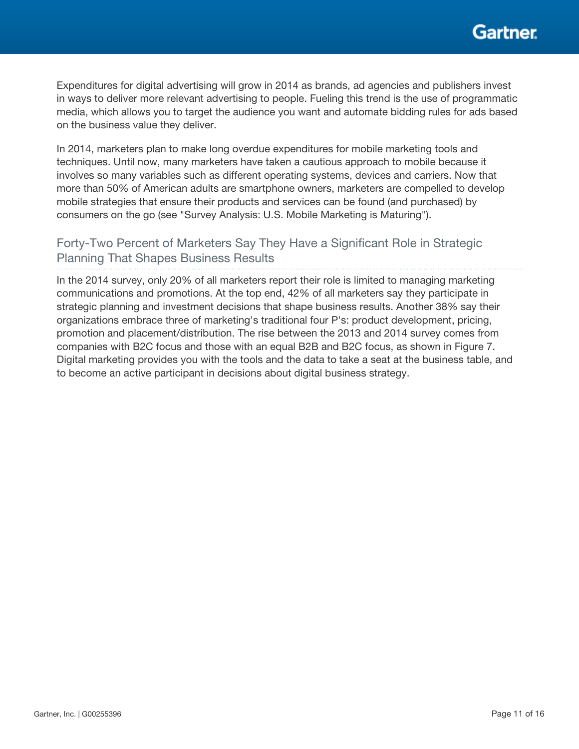<span id="page-10-0"></span>Expenditures for digital advertising will grow in 2014 as brands, ad agencies and publishers invest in ways to deliver more relevant advertising to people. Fueling this trend is the use of programmatic media, which allows you to target the audience you want and automate bidding rules for ads based on the business value they deliver.

In 2014, marketers plan to make long overdue expenditures for mobile marketing tools and techniques. Until now, many marketers have taken a cautious approach to mobile because it involves so many variables such as different operating systems, devices and carriers. Now that more than 50% of American adults are smartphone owners, marketers are compelled to develop mobile strategies that ensure their products and services can be found (and purchased) by consumers on the go (see "Survey Analysis: U.S. Mobile Marketing is Maturing").

# Forty-Two Percent of Marketers Say They Have a Significant Role in Strategic Planning That Shapes Business Results

In the 2014 survey, only 20% of all marketers report their role is limited to managing marketing communications and promotions. At the top end, 42% of all marketers say they participate in strategic planning and investment decisions that shape business results. Another 38% say their organizations embrace three of marketing's traditional four P's: product development, pricing, promotion and placement/distribution. The rise between the 2013 and 2014 survey comes from companies with B2C focus and those with an equal B2B and B2C focus, as shown in Figure 7. Digital marketing provides you with the tools and the data to take a seat at the business table, and to become an active participant in decisions about digital business strategy.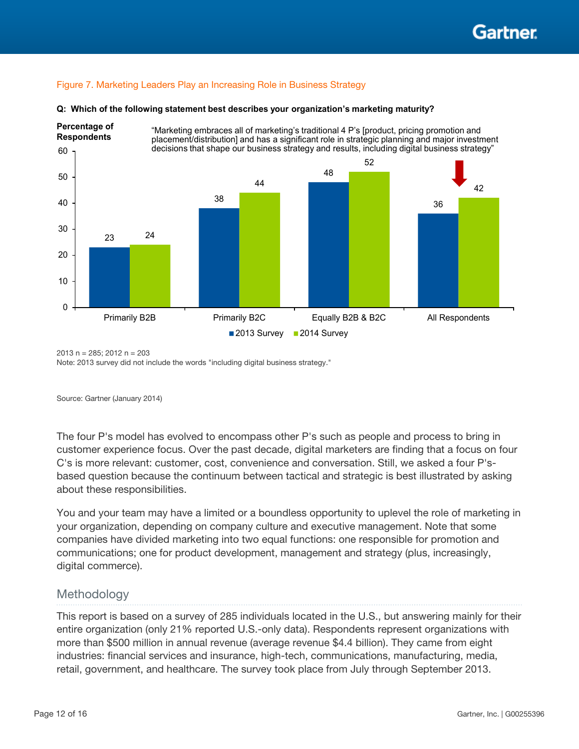### <span id="page-11-0"></span>Figure 7. Marketing Leaders Play an Increasing Role in Business Strategy



#### **Q: Which of the following statement best describes your organization's marketing maturity?**

2013 n = 285; 2012 n = 203

Note: 2013 survey did not include the words "including digital business strategy."

Source: Gartner (January 2014)

The four P's model has evolved to encompass other P's such as people and process to bring in customer experience focus. Over the past decade, digital marketers are finding that a focus on four C's is more relevant: customer, cost, convenience and conversation. Still, we asked a four P'sbased question because the continuum between tactical and strategic is best illustrated by asking about these responsibilities.

You and your team may have a limited or a boundless opportunity to uplevel the role of marketing in your organization, depending on company culture and executive management. Note that some companies have divided marketing into two equal functions: one responsible for promotion and communications; one for product development, management and strategy (plus, increasingly, digital commerce).

### Methodology

This report is based on a survey of 285 individuals located in the U.S., but answering mainly for their entire organization (only 21% reported U.S.-only data). Respondents represent organizations with more than \$500 million in annual revenue (average revenue \$4.4 billion). They came from eight industries: financial services and insurance, high-tech, communications, manufacturing, media, retail, government, and healthcare. The survey took place from July through September 2013.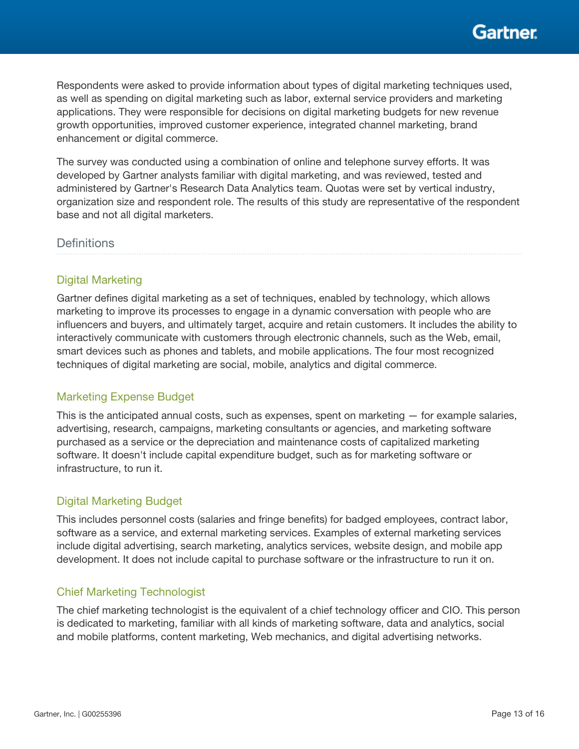

<span id="page-12-0"></span>Respondents were asked to provide information about types of digital marketing techniques used, as well as spending on digital marketing such as labor, external service providers and marketing applications. They were responsible for decisions on digital marketing budgets for new revenue growth opportunities, improved customer experience, integrated channel marketing, brand enhancement or digital commerce.

The survey was conducted using a combination of online and telephone survey efforts. It was developed by Gartner analysts familiar with digital marketing, and was reviewed, tested and administered by Gartner's Research Data Analytics team. Quotas were set by vertical industry, organization size and respondent role. The results of this study are representative of the respondent base and not all digital marketers.

### **Definitions**

### Digital Marketing

Gartner defines digital marketing as a set of techniques, enabled by technology, which allows marketing to improve its processes to engage in a dynamic conversation with people who are influencers and buyers, and ultimately target, acquire and retain customers. It includes the ability to interactively communicate with customers through electronic channels, such as the Web, email, smart devices such as phones and tablets, and mobile applications. The four most recognized techniques of digital marketing are social, mobile, analytics and digital commerce.

### Marketing Expense Budget

This is the anticipated annual costs, such as expenses, spent on marketing — for example salaries, advertising, research, campaigns, marketing consultants or agencies, and marketing software purchased as a service or the depreciation and maintenance costs of capitalized marketing software. It doesn't include capital expenditure budget, such as for marketing software or infrastructure, to run it.

### Digital Marketing Budget

This includes personnel costs (salaries and fringe benefits) for badged employees, contract labor, software as a service, and external marketing services. Examples of external marketing services include digital advertising, search marketing, analytics services, website design, and mobile app development. It does not include capital to purchase software or the infrastructure to run it on.

### Chief Marketing Technologist

The chief marketing technologist is the equivalent of a chief technology officer and CIO. This person is dedicated to marketing, familiar with all kinds of marketing software, data and analytics, social and mobile platforms, content marketing, Web mechanics, and digital advertising networks.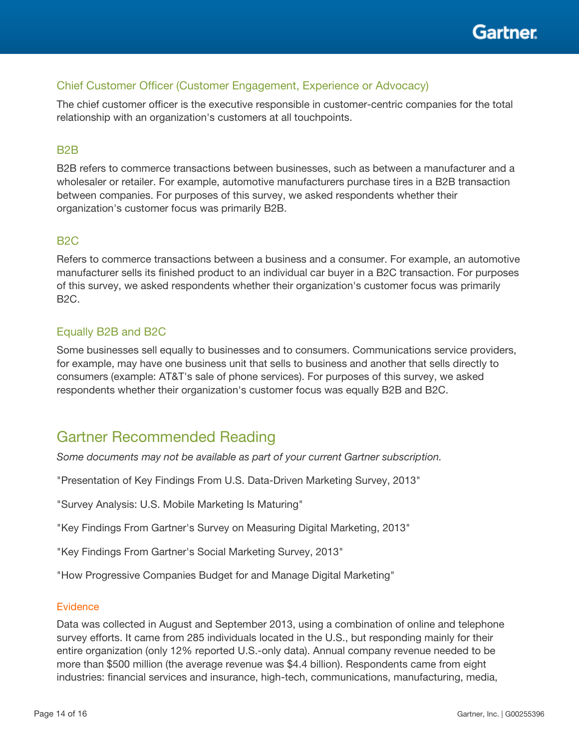

### <span id="page-13-0"></span>Chief Customer Officer (Customer Engagement, Experience or Advocacy)

The chief customer officer is the executive responsible in customer-centric companies for the total relationship with an organization's customers at all touchpoints.

### B2B

B2B refers to commerce transactions between businesses, such as between a manufacturer and a wholesaler or retailer. For example, automotive manufacturers purchase tires in a B2B transaction between companies. For purposes of this survey, we asked respondents whether their organization's customer focus was primarily B2B.

### B2C

Refers to commerce transactions between a business and a consumer. For example, an automotive manufacturer sells its finished product to an individual car buyer in a B2C transaction. For purposes of this survey, we asked respondents whether their organization's customer focus was primarily B2C.

### Equally B2B and B2C

Some businesses sell equally to businesses and to consumers. Communications service providers, for example, may have one business unit that sells to business and another that sells directly to consumers (example: AT&T's sale of phone services). For purposes of this survey, we asked respondents whether their organization's customer focus was equally B2B and B2C.

# Gartner Recommended Reading

*Some documents may not be available as part of your current Gartner subscription.*

"Presentation of Key Findings From U.S. Data-Driven Marketing Survey, 2013"

"Survey Analysis: U.S. Mobile Marketing Is Maturing"

"Key Findings From Gartner's Survey on Measuring Digital Marketing, 2013"

"Key Findings From Gartner's Social Marketing Survey, 2013"

"How Progressive Companies Budget for and Manage Digital Marketing"

### **Evidence**

Data was collected in August and September 2013, using a combination of online and telephone survey efforts. It came from 285 individuals located in the U.S., but responding mainly for their entire organization (only 12% reported U.S.-only data). Annual company revenue needed to be more than \$500 million (the average revenue was \$4.4 billion). Respondents came from eight industries: financial services and insurance, high-tech, communications, manufacturing, media,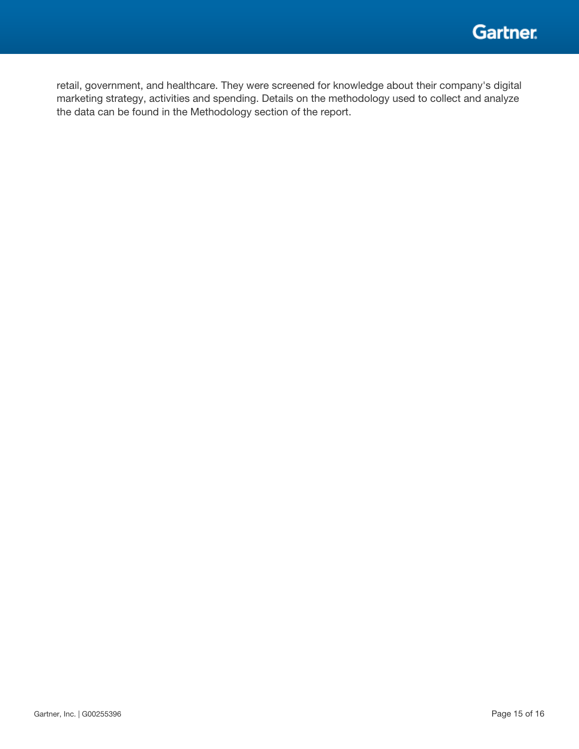

retail, government, and healthcare. They were screened for knowledge about their company's digital marketing strategy, activities and spending. Details on the methodology used to collect and analyze the data can be found in the Methodology section of the report.